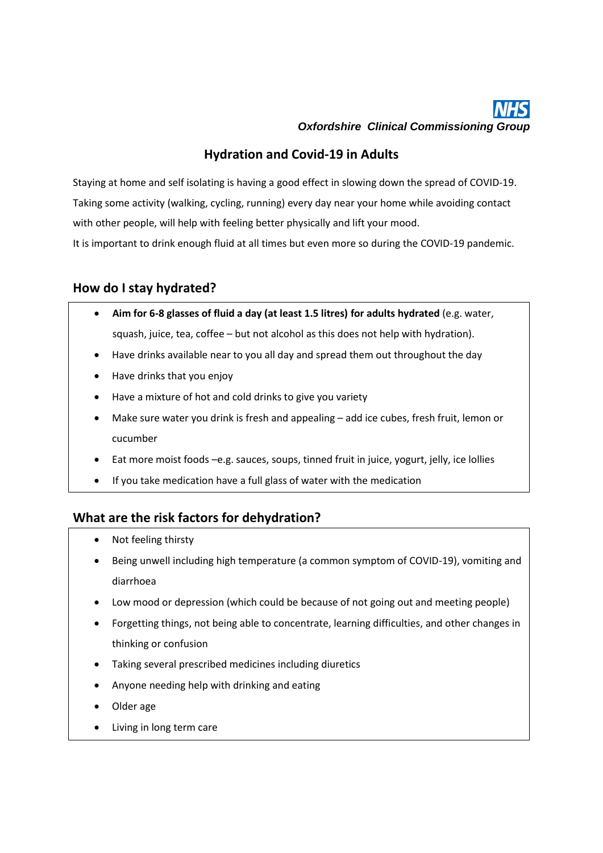# $\overline{a}$ *Oxfordshire Clinical Commissioning Group*

## **Hydration and Covid-19 in Adults**

Staying at home and self isolating is having a good effect in slowing down the spread of COVID-19. Taking some activity (walking, cycling, running) every day near your home while avoiding contact with other people, will help with feeling better physically and lift your mood.

It is important to drink enough fluid at all times but even more so during the COVID-19 pandemic.

### **How do I stay hydrated?**

- **Aim for 6-8 glasses of fluid a day (at least 1.5 litres) for adults hydrated** (e.g. water, squash, juice, tea, coffee – but not alcohol as this does not help with hydration).
- Have drinks available near to you all day and spread them out throughout the day
- Have drinks that you enjoy
- Have a mixture of hot and cold drinks to give you variety
- Make sure water you drink is fresh and appealing add ice cubes, fresh fruit, lemon or cucumber
- Eat more moist foods –e.g. sauces, soups, tinned fruit in juice, yogurt, jelly, ice lollies
- If you take medication have a full glass of water with the medication

### **What are the risk factors for dehydration?**

- Not feeling thirsty
- Being unwell including high temperature (a common symptom of COVID-19), vomiting and diarrhoea
- Low mood or depression (which could be because of not going out and meeting people)
- Forgetting things, not being able to concentrate, learning difficulties, and other changes in thinking or confusion
- Taking several prescribed medicines including diuretics
- Anyone needing help with drinking and eating
- Older age
- Living in long term care